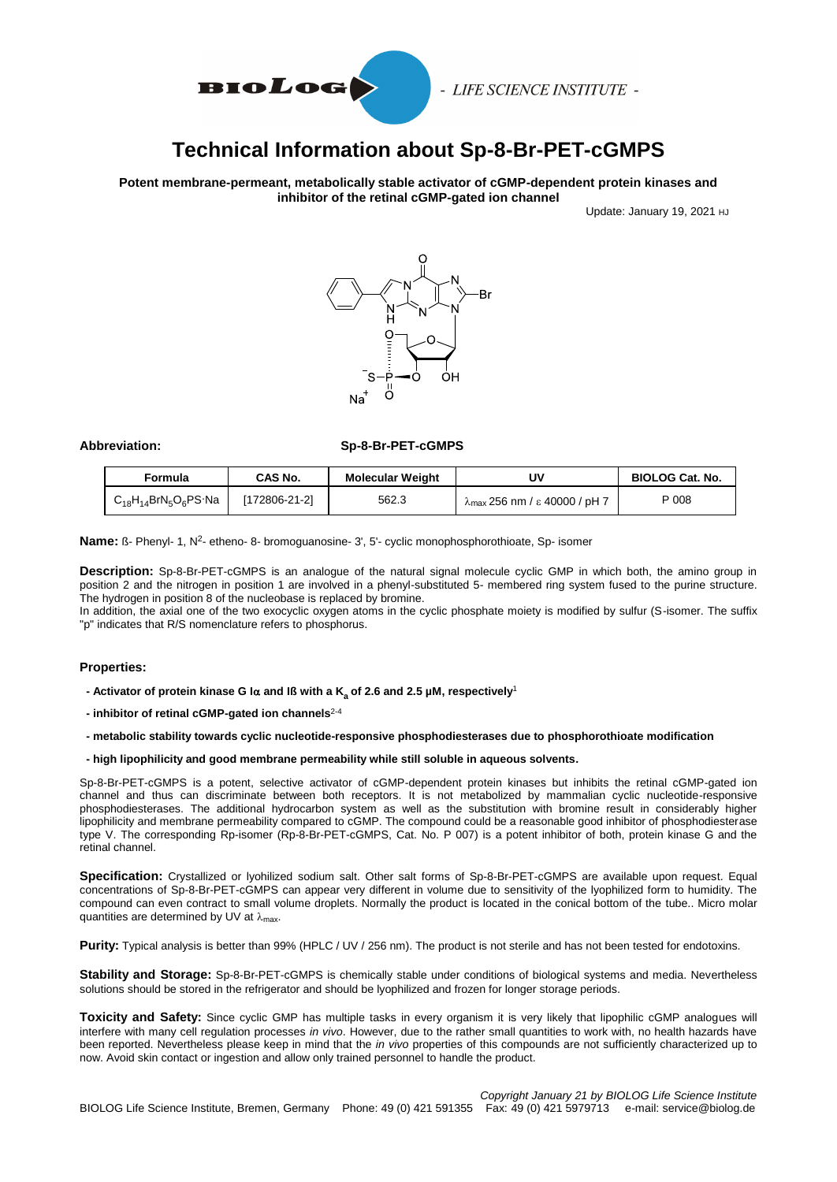

- LIFE SCIENCE INSTITUTE -

# **Technical Information about Sp-8-Br-PET-cGMPS**

**Potent membrane-permeant, metabolically stable activator of cGMP-dependent protein kinases and inhibitor of the retinal cGMP-gated ion channel**

Update: January 19, 2021 HJ



**Abbreviation: Sp-8-Br-PET-cGMPS**

| Formula                     | CAS No.       | <b>Molecular Weight</b> | υv                                             | <b>BIOLOG Cat. No.</b> |
|-----------------------------|---------------|-------------------------|------------------------------------------------|------------------------|
| $C_{18}H_{14}BrN_5O_6PS$ Na | [172806-21-2] | 562.3                   | $\lambda_{\text{max}}$ 256 nm / ε 40000 / pH 7 | P 008                  |

Name: ß- Phenyl- 1, N<sup>2</sup>- etheno- 8- bromoguanosine- 3', 5'- cyclic monophosphorothioate, Sp- isomer

**Description:** Sp-8-Br-PET-cGMPS is an analogue of the natural signal molecule cyclic GMP in which both, the amino group in position 2 and the nitrogen in position 1 are involved in a phenyl-substituted 5- membered ring system fused to the purine structure. The hydrogen in position 8 of the nucleobase is replaced by bromine.

In addition, the axial one of the two exocyclic oxygen atoms in the cyclic phosphate moiety is modified by sulfur (S-isomer. The suffix "p" indicates that R/S nomenclature refers to phosphorus.

### **Properties:**

- **- Activator of protein kinase G I and Iß with a K<sup>a</sup> of 2.6 and 2.5 µM, respectively**<sup>1</sup>
- **- inhibitor of retinal cGMP-gated ion channels**2-4
- **- metabolic stability towards cyclic nucleotide-responsive phosphodiesterases due to phosphorothioate modification**
- **- high lipophilicity and good membrane permeability while still soluble in aqueous solvents.**

Sp-8-Br-PET-cGMPS is a potent, selective activator of cGMP-dependent protein kinases but inhibits the retinal cGMP-gated ion channel and thus can discriminate between both receptors. It is not metabolized by mammalian cyclic nucleotide-responsive phosphodiesterases. The additional hydrocarbon system as well as the substitution with bromine result in considerably higher lipophilicity and membrane permeability compared to cGMP. The compound could be a reasonable good inhibitor of phosphodiesterase type V. The corresponding Rp-isomer (Rp-8-Br-PET-cGMPS, Cat. No. P 007) is a potent inhibitor of both, protein kinase G and the retinal channel.

**Specification:** Crystallized or lyohilized sodium salt. Other salt forms of Sp-8-Br-PET-cGMPS are available upon request. Equal concentrations of Sp-8-Br-PET-cGMPS can appear very different in volume due to sensitivity of the lyophilized form to humidity. The compound can even contract to small volume droplets. Normally the product is located in the conical bottom of the tube.. Micro molar quantities are determined by UV at  $\lambda_{\text{max}}$ .

**Purity:** Typical analysis is better than 99% (HPLC / UV / 256 nm). The product is not sterile and has not been tested for endotoxins.

**Stability and Storage:** Sp-8-Br-PET-cGMPS is chemically stable under conditions of biological systems and media. Nevertheless solutions should be stored in the refrigerator and should be lyophilized and frozen for longer storage periods.

**Toxicity and Safety:** Since cyclic GMP has multiple tasks in every organism it is very likely that lipophilic cGMP analogues will interfere with many cell regulation processes *in vivo*. However, due to the rather small quantities to work with, no health hazards have been reported. Nevertheless please keep in mind that the *in vivo* properties of this compounds are not sufficiently characterized up to now. Avoid skin contact or ingestion and allow only trained personnel to handle the product.

*Copyright January 21 by BIOLOG Life Science Institute* BIOLOG Life Science Institute, Bremen, Germany Phone: 49 (0) 421 591355 Fax: 49 (0) 421 5979713 e-mail: service@biolog.de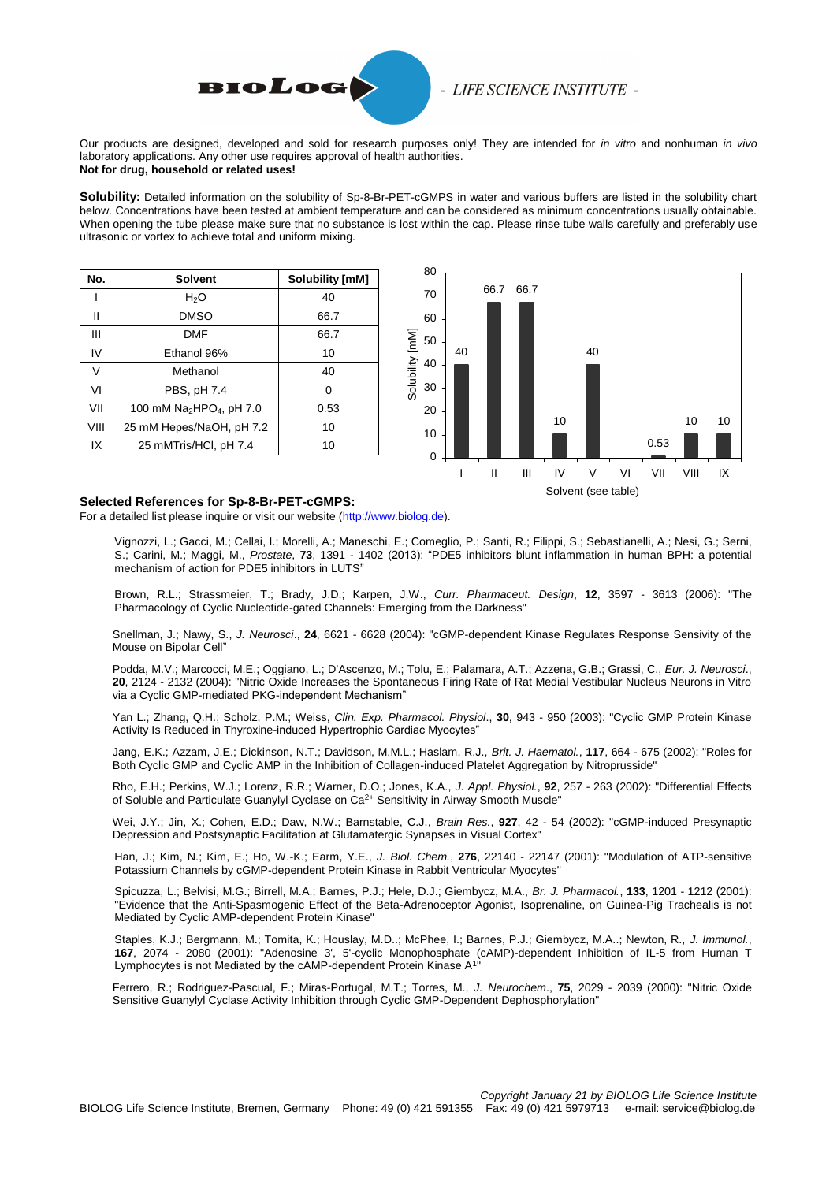

# - LIFE SCIENCE INSTITUTE -

Our products are designed, developed and sold for research purposes only! They are intended for *in vitro* and nonhuman *in vivo*  laboratory applications. Any other use requires approval of health authorities. **Not for drug, household or related uses!**

**Solubility:** Detailed information on the solubility of Sp-8-Br-PET-cGMPS in water and various buffers are listed in the solubility chart below. Concentrations have been tested at ambient temperature and can be considered as minimum concentrations usually obtainable. When opening the tube please make sure that no substance is lost within the cap. Please rinse tube walls carefully and preferably use ultrasonic or vortex to achieve total and uniform mixing.

| No.  | <b>Solvent</b>                                   | Solubility [mM] |
|------|--------------------------------------------------|-----------------|
|      | H <sub>2</sub> O                                 | 40              |
| Ш    | <b>DMSO</b>                                      | 66.7            |
| Ш    | <b>DMF</b>                                       | 66.7            |
| IV   | Ethanol 96%                                      | 10              |
| V    | Methanol                                         | 40              |
| VI   | PBS, pH 7.4                                      | 0               |
| VII  | 100 mM Na <sub>2</sub> HPO <sub>4</sub> , pH 7.0 | 0.53            |
| VIII | 25 mM Hepes/NaOH, pH 7.2                         | 10              |
| IX   | 25 mMTris/HCl, pH 7.4                            | 10              |



### **Selected References for Sp-8-Br-PET-cGMPS:**

For a detailed list please inquire or visit our website [\(http://www.biolog.de\)](http://www.biolog.de/literature/product-references/?user_library_pi4%5Brequest%5D=referenz&user_library_pi4%5Bname%5D=P%20008).

 Vignozzi, L.; Gacci, M.; Cellai, I.; Morelli, A.; Maneschi, E.; Comeglio, P.; Santi, R.; Filippi, S.; Sebastianelli, A.; Nesi, G.; Serni, S.; Carini, M.; Maggi, M., *Prostate*, **73**, 1391 - 1402 (2013): "PDE5 inhibitors blunt inflammation in human BPH: a potential mechanism of action for PDE5 inhibitors in LUTS"

Brown, R.L.; Strassmeier, T.; Brady, J.D.; Karpen, J.W., *Curr. Pharmaceut. Design*, **12**, 3597 - 3613 (2006): "The Pharmacology of Cyclic Nucleotide-gated Channels: Emerging from the Darkness"

Snellman, J.; Nawy, S., *J. Neurosci*., **24**, 6621 - 6628 (2004): "cGMP-dependent Kinase Regulates Response Sensivity of the Mouse on Bipolar Cell"

Podda, M.V.; Marcocci, M.E.; Oggiano, L.; D'Ascenzo, M.; Tolu, E.; Palamara, A.T.; Azzena, G.B.; Grassi, C., *Eur. J. Neurosci*., **20**, 2124 - 2132 (2004): "Nitric Oxide Increases the Spontaneous Firing Rate of Rat Medial Vestibular Nucleus Neurons in Vitro via a Cyclic GMP-mediated PKG-independent Mechanism"

Yan L.; Zhang, Q.H.; Scholz, P.M.; Weiss, *Clin. Exp. Pharmacol. Physiol*., **30**, 943 - 950 (2003): "Cyclic GMP Protein Kinase Activity Is Reduced in Thyroxine-induced Hypertrophic Cardiac Myocytes"

Jang, E.K.; Azzam, J.E.; Dickinson, N.T.; Davidson, M.M.L.; Haslam, R.J., *Brit. J. Haematol.*, **117**, 664 - 675 (2002): "Roles for Both Cyclic GMP and Cyclic AMP in the Inhibition of Collagen-induced Platelet Aggregation by Nitroprusside"

Rho, E.H.; Perkins, W.J.; Lorenz, R.R.; Warner, D.O.; Jones, K.A., *J. Appl. Physiol.*, **92**, 257 - 263 (2002): "Differential Effects of Soluble and Particulate Guanylyl Cyclase on Ca2+ Sensitivity in Airway Smooth Muscle"

Wei, J.Y.; Jin, X.; Cohen, E.D.; Daw, N.W.; Barnstable, C.J., *Brain Res.*, **927**, 42 - 54 (2002): "cGMP-induced Presynaptic Depression and Postsynaptic Facilitation at Glutamatergic Synapses in Visual Cortex"

Han, J.; Kim, N.; Kim, E.; Ho, W.-K.; Earm, Y.E., *J. Biol. Chem.*, **276**, 22140 - 22147 (2001): "Modulation of ATP-sensitive Potassium Channels by cGMP-dependent Protein Kinase in Rabbit Ventricular Myocytes"

Spicuzza, L.; Belvisi, M.G.; Birrell, M.A.; Barnes, P.J.; Hele, D.J.; Giembycz, M.A., *Br. J. Pharmacol.*, **133**, 1201 - 1212 (2001): "Evidence that the Anti-Spasmogenic Effect of the Beta-Adrenoceptor Agonist, Isoprenaline, on Guinea-Pig Trachealis is not Mediated by Cyclic AMP-dependent Protein Kinase"

Staples, K.J.; Bergmann, M.; Tomita, K.; Houslay, M.D..; McPhee, I.; Barnes, P.J.; Giembycz, M.A..; Newton, R., *J. Immunol.*, **167**, 2074 - 2080 (2001): "Adenosine 3', 5'-cyclic Monophosphate (cAMP)-dependent Inhibition of IL-5 from Human T Lymphocytes is not Mediated by the cAMP-dependent Protein Kinase A<sup>1</sup>"

Ferrero, R.; Rodriguez-Pascual, F.; Miras-Portugal, M.T.; Torres, M., *J. Neurochem*., **75**, 2029 - 2039 (2000): "Nitric Oxide Sensitive Guanylyl Cyclase Activity Inhibition through Cyclic GMP-Dependent Dephosphorylation"